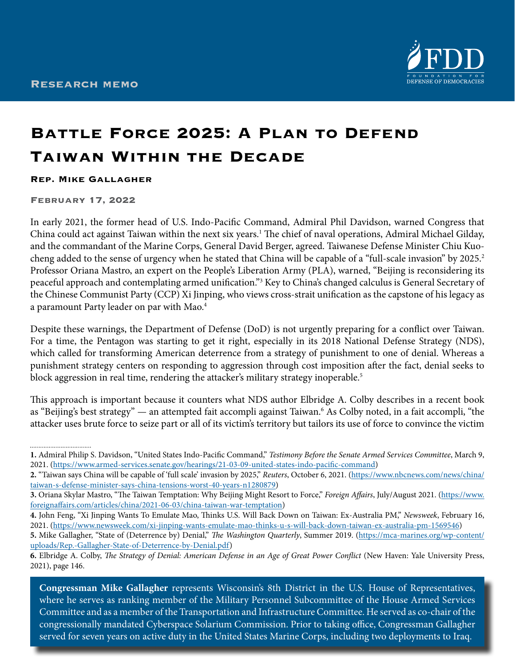

# **Battle Force 2025: A Plan to Defend Taiwan Within the Decade**

#### **Rep. Mike Gallagher**

#### **February 17, 2022**

................................

In early 2021, the former head of U.S. Indo-Pacific Command, Admiral Phil Davidson, warned Congress that China could act against Taiwan within the next six years.<sup>1</sup> The chief of naval operations, Admiral Michael Gilday, and the commandant of the Marine Corps, General David Berger, agreed. Taiwanese Defense Minister Chiu Kuocheng added to the sense of urgency when he stated that China will be capable of a "full-scale invasion" by 2025.<sup>2</sup> Professor Oriana Mastro, an expert on the People's Liberation Army (PLA), warned, "Beijing is reconsidering its peaceful approach and contemplating armed unification."<sup>3</sup> Key to China's changed calculus is General Secretary of the Chinese Communist Party (CCP) Xi Jinping, who views cross-strait unification as the capstone of his legacy as a paramount Party leader on par with Mao.<sup>4</sup>

Despite these warnings, the Department of Defense (DoD) is not urgently preparing for a conflict over Taiwan. For a time, the Pentagon was starting to get it right, especially in its 2018 National Defense Strategy (NDS), which called for transforming American deterrence from a strategy of punishment to one of denial. Whereas a punishment strategy centers on responding to aggression through cost imposition after the fact, denial seeks to block aggression in real time, rendering the attacker's military strategy inoperable.<sup>5</sup>

This approach is important because it counters what NDS author Elbridge A. Colby describes in a recent book as "Beijing's best strategy" — an attempted fait accompli against Taiwan.<sup>6</sup> As Colby noted, in a fait accompli, "the attacker uses brute force to seize part or all of its victim's territory but tailors its use of force to convince the victim

- **4.** John Feng, "Xi Jinping Wants To Emulate Mao, Thinks U.S. Will Back Down on Taiwan: Ex-Australia PM," *Newsweek*, February 16, 2021. [\(https://www.newsweek.com/xi-jinping-wants-emulate-mao-thinks-u-s-will-back-down-taiwan-ex-australia-pm-1569546](https://www.newsweek.com/xi-jinping-wants-emulate-mao-thinks-u-s-will-back-down-taiwan-ex-australia-pm-1569546))
- **5.** Mike Gallagher, "State of (Deterrence by) Denial," *The Washington Quarterly*, Summer 2019. ([https://mca-marines.org/wp-content/](https://mca-marines.org/wp-content/uploads/Rep.-Gallagher-State-of-Deterrence-by-Denial.pdf) [uploads/Rep.-Gallagher-State-of-Deterrence-by-Denial.pdf\)](https://mca-marines.org/wp-content/uploads/Rep.-Gallagher-State-of-Deterrence-by-Denial.pdf)

served for seven years on active duty in the United States Marine Corps, including two deployments to Iraq. **Congressman Mike Gallagher** represents Wisconsin's 8th District in the U.S. House of Representatives, where he serves as ranking member of the Military Personnel Subcommittee of the House Armed Services Committee and as a member of the Transportation and Infrastructure Committee. He served as co-chair of the congressionally mandated Cyberspace Solarium Commission. Prior to taking office, Congressman Gallagher

**<sup>1.</sup>** Admiral Philip S. Davidson, "United States Indo-Pacific Command," *Testimony Before the Senate Armed Services Committee*, March 9, 2021. [\(https://www.armed-services.senate.gov/hearings/21-03-09-united-states-indo-pacific-command](https://www.armed-services.senate.gov/hearings/21-03-09-united-states-indo-pacific-command))

**<sup>2.</sup>** "Taiwan says China will be capable of 'full scale' invasion by 2025," *Reuters*, October 6, 2021. ([https://www.nbcnews.com/news/china/](https://www.nbcnews.com/news/china/taiwan-s-defense-minister-says-china-tensions-worst-40-years-n1280879) [taiwan-s-defense-minister-says-china-tensions-worst-40-years-n1280879\)](https://www.nbcnews.com/news/china/taiwan-s-defense-minister-says-china-tensions-worst-40-years-n1280879)

**<sup>3.</sup>** Oriana Skylar Mastro, "The Taiwan Temptation: Why Beijing Might Resort to Force," *Foreign Affairs*, July/August 2021. ([https://www.](https://www.foreignaffairs.com/articles/china/2021-06-03/china-taiwan-war-temptation) [foreignaffairs.com/articles/china/2021-06-03/china-taiwan-war-temptation\)](https://www.foreignaffairs.com/articles/china/2021-06-03/china-taiwan-war-temptation)

**<sup>6.</sup>** Elbridge A. Colby, *The Strategy of Denial: American Defense in an Age of Great Power Conflict* (New Haven: Yale University Press, 2021), page 146.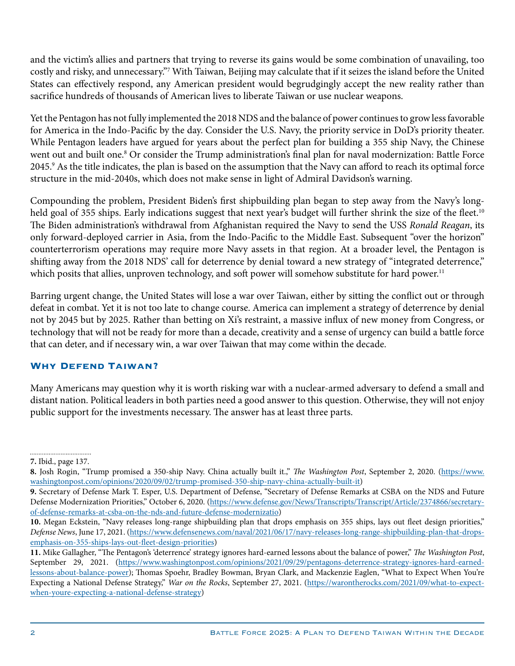and the victim's allies and partners that trying to reverse its gains would be some combination of unavailing, too costly and risky, and unnecessary."7 With Taiwan, Beijing may calculate that if it seizes the island before the United States can effectively respond, any American president would begrudgingly accept the new reality rather than sacrifice hundreds of thousands of American lives to liberate Taiwan or use nuclear weapons.

Yet the Pentagon has not fully implemented the 2018 NDS and the balance of power continues to grow less favorable for America in the Indo-Pacific by the day. Consider the U.S. Navy, the priority service in DoD's priority theater. While Pentagon leaders have argued for years about the perfect plan for building a 355 ship Navy, the Chinese went out and built one.<sup>8</sup> Or consider the Trump administration's final plan for naval modernization: Battle Force 2045.9 As the title indicates, the plan is based on the assumption that the Navy can afford to reach its optimal force structure in the mid-2040s, which does not make sense in light of Admiral Davidson's warning.

Compounding the problem, President Biden's first shipbuilding plan began to step away from the Navy's longheld goal of 355 ships. Early indications suggest that next year's budget will further shrink the size of the fleet.<sup>10</sup> The Biden administration's withdrawal from Afghanistan required the Navy to send the USS *Ronald Reagan*, its only forward-deployed carrier in Asia, from the Indo-Pacific to the Middle East. Subsequent "over the horizon" counterterrorism operations may require more Navy assets in that region. At a broader level, the Pentagon is shifting away from the 2018 NDS' call for deterrence by denial toward a new strategy of "integrated deterrence," which posits that allies, unproven technology, and soft power will somehow substitute for hard power.<sup>11</sup>

Barring urgent change, the United States will lose a war over Taiwan, either by sitting the conflict out or through defeat in combat. Yet it is not too late to change course. America can implement a strategy of deterrence by denial not by 2045 but by 2025. Rather than betting on Xi's restraint, a massive influx of new money from Congress, or technology that will not be ready for more than a decade, creativity and a sense of urgency can build a battle force that can deter, and if necessary win, a war over Taiwan that may come within the decade.

## **Why Defend Taiwan?**

Many Americans may question why it is worth risking war with a nuclear-armed adversary to defend a small and distant nation. Political leaders in both parties need a good answer to this question. Otherwise, they will not enjoy public support for the investments necessary. The answer has at least three parts.

<sup>................................</sup> **7.** Ibid., page 137.

**<sup>8.</sup>** Josh Rogin, "Trump promised a 350-ship Navy. China actually built it.," *The Washington Post*, September 2, 2020. ([https://www.](https://www.washingtonpost.com/opinions/2020/09/02/trump-promised-350-ship-navy-china-actually-built-it) [washingtonpost.com/opinions/2020/09/02/trump-promised-350-ship-navy-china-actually-built-it\)](https://www.washingtonpost.com/opinions/2020/09/02/trump-promised-350-ship-navy-china-actually-built-it)

**<sup>9.</sup>** Secretary of Defense Mark T. Esper, U.S. Department of Defense, "Secretary of Defense Remarks at CSBA on the NDS and Future Defense Modernization Priorities," October 6, 2020. ([https://www.defense.gov/News/Transcripts/Transcript/Article/2374866/secretary](https://www.defense.gov/News/Transcripts/Transcript/Article/2374866/secretary-of-defense-remarks-at-csba-on-the-nds-and-future-defense-modernizatio/)[of-defense-remarks-at-csba-on-the-nds-and-future-defense-modernizatio](https://www.defense.gov/News/Transcripts/Transcript/Article/2374866/secretary-of-defense-remarks-at-csba-on-the-nds-and-future-defense-modernizatio/))

**<sup>10.</sup>** Megan Eckstein, "Navy releases long-range shipbuilding plan that drops emphasis on 355 ships, lays out fleet design priorities," *Defense News*, June 17, 2021. [\(https://www.defensenews.com/naval/2021/06/17/navy-releases-long-range-shipbuilding-plan-that-drops](https://www.defensenews.com/naval/2021/06/17/navy-releases-long-range-shipbuilding-plan-that-drops-emphasis-on-355-ships-lays-out-fleet-design-priorities)[emphasis-on-355-ships-lays-out-fleet-design-priorities\)](https://www.defensenews.com/naval/2021/06/17/navy-releases-long-range-shipbuilding-plan-that-drops-emphasis-on-355-ships-lays-out-fleet-design-priorities)

**<sup>11.</sup>** Mike Gallagher, "The Pentagon's 'deterrence' strategy ignores hard-earned lessons about the balance of power," *The Washington Post*, September 29, 2021. ([https://www.washingtonpost.com/opinions/2021/09/29/pentagons-deterrence-strategy-ignores-hard-earned](https://www.washingtonpost.com/opinions/2021/09/29/pentagons-deterrence-strategy-ignores-hard-earned-lessons-about-balance-power)[lessons-about-balance-power\)](https://www.washingtonpost.com/opinions/2021/09/29/pentagons-deterrence-strategy-ignores-hard-earned-lessons-about-balance-power); Thomas Spoehr, Bradley Bowman, Bryan Clark, and Mackenzie Eaglen, "What to Expect When You're Expecting a National Defense Strategy," *War on the Rocks*, September 27, 2021. [\(https://warontherocks.com/2021/09/what-to-expect](https://warontherocks.com/2021/09/what-to-expect-when-youre-expecting-a-national-defense-strategy)[when-youre-expecting-a-national-defense-strategy](https://warontherocks.com/2021/09/what-to-expect-when-youre-expecting-a-national-defense-strategy))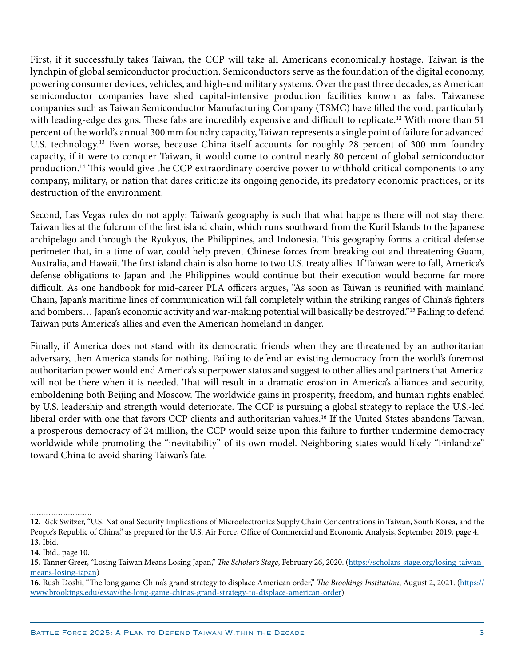First, if it successfully takes Taiwan, the CCP will take all Americans economically hostage. Taiwan is the lynchpin of global semiconductor production. Semiconductors serve as the foundation of the digital economy, powering consumer devices, vehicles, and high-end military systems. Over the past three decades, as American semiconductor companies have shed capital-intensive production facilities known as fabs. Taiwanese companies such as Taiwan Semiconductor Manufacturing Company (TSMC) have filled the void, particularly with leading-edge designs. These fabs are incredibly expensive and difficult to replicate.12 With more than 51 percent of the world's annual 300 mm foundry capacity, Taiwan represents a single point of failure for advanced U.S. technology.<sup>13</sup> Even worse, because China itself accounts for roughly 28 percent of 300 mm foundry capacity, if it were to conquer Taiwan, it would come to control nearly 80 percent of global semiconductor production.<sup>14</sup> This would give the CCP extraordinary coercive power to withhold critical components to any company, military, or nation that dares criticize its ongoing genocide, its predatory economic practices, or its destruction of the environment.

Second, Las Vegas rules do not apply: Taiwan's geography is such that what happens there will not stay there. Taiwan lies at the fulcrum of the first island chain, which runs southward from the Kuril Islands to the Japanese archipelago and through the Ryukyus, the Philippines, and Indonesia. This geography forms a critical defense perimeter that, in a time of war, could help prevent Chinese forces from breaking out and threatening Guam, Australia, and Hawaii. The first island chain is also home to two U.S. treaty allies. If Taiwan were to fall, America's defense obligations to Japan and the Philippines would continue but their execution would become far more difficult. As one handbook for mid-career PLA officers argues, "As soon as Taiwan is reunified with mainland Chain, Japan's maritime lines of communication will fall completely within the striking ranges of China's fighters and bombers… Japan's economic activity and war-making potential will basically be destroyed."15 Failing to defend Taiwan puts America's allies and even the American homeland in danger.

Finally, if America does not stand with its democratic friends when they are threatened by an authoritarian adversary, then America stands for nothing. Failing to defend an existing democracy from the world's foremost authoritarian power would end America's superpower status and suggest to other allies and partners that America will not be there when it is needed. That will result in a dramatic erosion in America's alliances and security, emboldening both Beijing and Moscow. The worldwide gains in prosperity, freedom, and human rights enabled by U.S. leadership and strength would deteriorate. The CCP is pursuing a global strategy to replace the U.S.-led liberal order with one that favors CCP clients and authoritarian values.16 If the United States abandons Taiwan, a prosperous democracy of 24 million, the CCP would seize upon this failure to further undermine democracy worldwide while promoting the "inevitability" of its own model. Neighboring states would likely "Finlandize" toward China to avoid sharing Taiwan's fate.

**<sup>12.</sup>** Rick Switzer, "U.S. National Security Implications of Microelectronics Supply Chain Concentrations in Taiwan, South Korea, and the People's Republic of China," as prepared for the U.S. Air Force, Office of Commercial and Economic Analysis, September 2019, page 4. **13.** Ibid.

**<sup>14.</sup>** Ibid., page 10.

**<sup>15.</sup>** Tanner Greer, "Losing Taiwan Means Losing Japan," *The Scholar's Stage*, February 26, 2020. ([https://scholars-stage.org/losing-taiwan](https://scholars-stage.org/losing-taiwan-means-losing-japan/)[means-losing-japan\)](https://scholars-stage.org/losing-taiwan-means-losing-japan/)

**<sup>16.</sup>** Rush Doshi, "The long game: China's grand strategy to displace American order," *The Brookings Institution*, August 2, 2021. [\(https://](https://www.brookings.edu/essay/the-long-game-chinas-grand-strategy-to-displace-american-order) [www.brookings.edu/essay/the-long-game-chinas-grand-strategy-to-displace-american-order\)](https://www.brookings.edu/essay/the-long-game-chinas-grand-strategy-to-displace-american-order)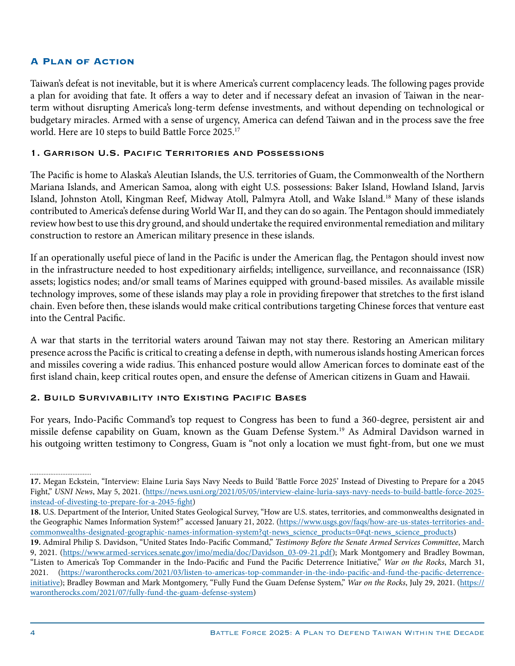#### **A Plan of Action**

Taiwan's defeat is not inevitable, but it is where America's current complacency leads. The following pages provide a plan for avoiding that fate. It offers a way to deter and if necessary defeat an invasion of Taiwan in the nearterm without disrupting America's long-term defense investments, and without depending on technological or budgetary miracles. Armed with a sense of urgency, America can defend Taiwan and in the process save the free world. Here are 10 steps to build Battle Force 2025.17

#### 1. Garrison U.S. Pacific Territories and Possessions

The Pacific is home to Alaska's Aleutian Islands, the U.S. territories of Guam, the Commonwealth of the Northern Mariana Islands, and American Samoa, along with eight U.S. possessions: Baker Island, Howland Island, Jarvis Island, Johnston Atoll, Kingman Reef, Midway Atoll, Palmyra Atoll, and Wake Island.18 Many of these islands contributed to America's defense during World War II, and they can do so again. The Pentagon should immediately review how best to use this dry ground, and should undertake the required environmental remediation and military construction to restore an American military presence in these islands.

If an operationally useful piece of land in the Pacific is under the American flag, the Pentagon should invest now in the infrastructure needed to host expeditionary airfields; intelligence, surveillance, and reconnaissance (ISR) assets; logistics nodes; and/or small teams of Marines equipped with ground-based missiles. As available missile technology improves, some of these islands may play a role in providing firepower that stretches to the first island chain. Even before then, these islands would make critical contributions targeting Chinese forces that venture east into the Central Pacific.

A war that starts in the territorial waters around Taiwan may not stay there. Restoring an American military presence across the Pacific is critical to creating a defense in depth, with numerous islands hosting American forces and missiles covering a wide radius. This enhanced posture would allow American forces to dominate east of the first island chain, keep critical routes open, and ensure the defense of American citizens in Guam and Hawaii.

#### 2. Build Survivability into Existing Pacific Bases

For years, Indo-Pacific Command's top request to Congress has been to fund a 360-degree, persistent air and missile defense capability on Guam, known as the Guam Defense System.19 As Admiral Davidson warned in his outgoing written testimony to Congress, Guam is "not only a location we must fight-from, but one we must

**<sup>17.</sup>** Megan Eckstein, "Interview: Elaine Luria Says Navy Needs to Build 'Battle Force 2025' Instead of Divesting to Prepare for a 2045 Fight," *USNI News*, May 5, 2021. [\(https://news.usni.org/2021/05/05/interview-elaine-luria-says-navy-needs-to-build-battle-force-2025](https://news.usni.org/2021/05/05/interview-elaine-luria-says-navy-needs-to-build-battle-force-2025-instead-of-divesting-to-prepare-for-a-2045-fight) [instead-of-divesting-to-prepare-for-a-2045-fight\)](https://news.usni.org/2021/05/05/interview-elaine-luria-says-navy-needs-to-build-battle-force-2025-instead-of-divesting-to-prepare-for-a-2045-fight)

**<sup>18.</sup>** U.S. Department of the Interior, United States Geological Survey, "How are U.S. states, territories, and commonwealths designated in the Geographic Names Information System?" accessed January 21, 2022. [\(https://www.usgs.gov/faqs/how-are-us-states-territories-and](https://www.usgs.gov/faqs/how-are-us-states-territories-and-commonwealths-designated-geographic-names-information-system?qt-news_science_products=0)[commonwealths-designated-geographic-names-information-system?qt-news\\_science\\_products=0#qt-news\\_science\\_products](https://www.usgs.gov/faqs/how-are-us-states-territories-and-commonwealths-designated-geographic-names-information-system?qt-news_science_products=0))

**<sup>19.</sup>** Admiral Philip S. Davidson, "United States Indo-Pacific Command," *Testimony Before the Senate Armed Services Committee*, March 9, 2021. ([https://www.armed-services.senate.gov/imo/media/doc/Davidson\\_03-09-21.pdf](https://www.armed-services.senate.gov/imo/media/doc/Davidson_03-09-21.pdf)); Mark Montgomery and Bradley Bowman, "Listen to America's Top Commander in the Indo-Pacific and Fund the Pacific Deterrence Initiative," *War on the Rocks*, March 31, 2021. [\(https://warontherocks.com/2021/03/listen-to-americas-top-commander-in-the-indo-pacific-and-fund-the-pacific-deterrence](https://warontherocks.com/2021/03/listen-to-americas-top-commander-in-the-indo-pacific-and-fund-the-pacific-deterrence-initiative/)[initiative](https://warontherocks.com/2021/03/listen-to-americas-top-commander-in-the-indo-pacific-and-fund-the-pacific-deterrence-initiative/)); Bradley Bowman and Mark Montgomery, "Fully Fund the Guam Defense System," *War on the Rocks*, July 29, 2021. [\(https://](https://warontherocks.com/2021/07/fully-fund-the-guam-defense-system) [warontherocks.com/2021/07/fully-fund-the-guam-defense-system\)](https://warontherocks.com/2021/07/fully-fund-the-guam-defense-system)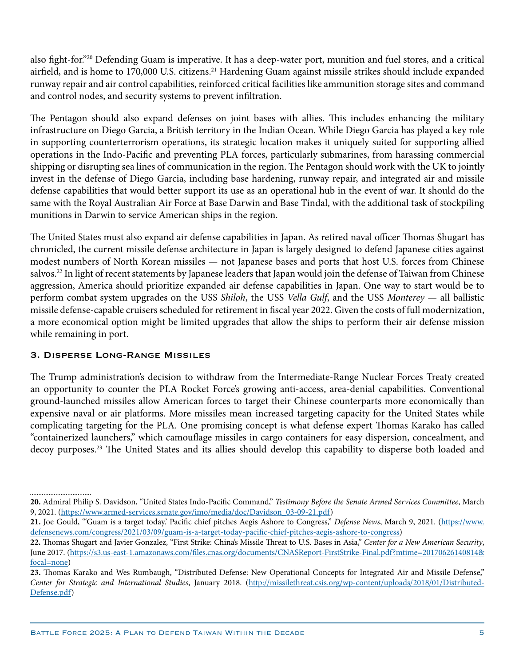also fight-for."20 Defending Guam is imperative. It has a deep-water port, munition and fuel stores, and a critical airfield, and is home to 170,000 U.S. citizens.<sup>21</sup> Hardening Guam against missile strikes should include expanded runway repair and air control capabilities, reinforced critical facilities like ammunition storage sites and command and control nodes, and security systems to prevent infiltration.

The Pentagon should also expand defenses on joint bases with allies. This includes enhancing the military infrastructure on Diego Garcia, a British territory in the Indian Ocean. While Diego Garcia has played a key role in supporting counterterrorism operations, its strategic location makes it uniquely suited for supporting allied operations in the Indo-Pacific and preventing PLA forces, particularly submarines, from harassing commercial shipping or disrupting sea lines of communication in the region. The Pentagon should work with the UK to jointly invest in the defense of Diego Garcia, including base hardening, runway repair, and integrated air and missile defense capabilities that would better support its use as an operational hub in the event of war. It should do the same with the Royal Australian Air Force at Base Darwin and Base Tindal, with the additional task of stockpiling munitions in Darwin to service American ships in the region.

The United States must also expand air defense capabilities in Japan. As retired naval officer Thomas Shugart has chronicled, the current missile defense architecture in Japan is largely designed to defend Japanese cities against modest numbers of North Korean missiles — not Japanese bases and ports that host U.S. forces from Chinese salvos.<sup>22</sup> In light of recent statements by Japanese leaders that Japan would join the defense of Taiwan from Chinese aggression, America should prioritize expanded air defense capabilities in Japan. One way to start would be to perform combat system upgrades on the USS *Shiloh*, the USS *Vella Gulf*, and the USS *Monterey* — all ballistic missile defense-capable cruisers scheduled for retirement in fiscal year 2022. Given the costs of full modernization, a more economical option might be limited upgrades that allow the ships to perform their air defense mission while remaining in port.

## 3. Disperse Long-Range Missiles

The Trump administration's decision to withdraw from the Intermediate-Range Nuclear Forces Treaty created an opportunity to counter the PLA Rocket Force's growing anti-access, area-denial capabilities. Conventional ground-launched missiles allow American forces to target their Chinese counterparts more economically than expensive naval or air platforms. More missiles mean increased targeting capacity for the United States while complicating targeting for the PLA. One promising concept is what defense expert Thomas Karako has called "containerized launchers," which camouflage missiles in cargo containers for easy dispersion, concealment, and decoy purposes.23 The United States and its allies should develop this capability to disperse both loaded and

**<sup>20.</sup>** Admiral Philip S. Davidson, "United States Indo-Pacific Command," *Testimony Before the Senate Armed Services Committee*, March 9, 2021. ([https://www.armed-services.senate.gov/imo/media/doc/Davidson\\_03-09-21.pdf\)](https://www.armed-services.senate.gov/imo/media/doc/Davidson_03-09-21.pdf)

**<sup>21.</sup>** Joe Gould, "'Guam is a target today.' Pacific chief pitches Aegis Ashore to Congress," *Defense News*, March 9, 2021. ([https://www.](https://www.defensenews.com/congress/2021/03/09/guam-is-a-target-today-pacific-chief-pitches-aegis-ashore-to-congress) [defensenews.com/congress/2021/03/09/guam-is-a-target-today-pacific-chief-pitches-aegis-ashore-to-congress\)](https://www.defensenews.com/congress/2021/03/09/guam-is-a-target-today-pacific-chief-pitches-aegis-ashore-to-congress)

**<sup>22.</sup>** Thomas Shugart and Javier Gonzalez, "First Strike: China's Missile Threat to U.S. Bases in Asia," *Center for a New American Security*, June 2017. [\(https://s3.us-east-1.amazonaws.com/files.cnas.org/documents/CNASReport-FirstStrike-Final.pdf?mtime=20170626140814&](https://s3.us-east-1.amazonaws.com/files.cnas.org/documents/CNASReport-FirstStrike-Final.pdf?mtime=20170626140814&focal=none) [focal=none\)](https://s3.us-east-1.amazonaws.com/files.cnas.org/documents/CNASReport-FirstStrike-Final.pdf?mtime=20170626140814&focal=none)

**<sup>23.</sup>** Thomas Karako and Wes Rumbaugh, "Distributed Defense: New Operational Concepts for Integrated Air and Missile Defense," *Center for Strategic and International Studies*, January 2018. ([http://missilethreat.csis.org/wp-content/uploads/2018/01/Distributed-](http://missilethreat.csis.org/wp-content/uploads/2018/01/Distributed-Defense.pdf)[Defense.pdf\)](http://missilethreat.csis.org/wp-content/uploads/2018/01/Distributed-Defense.pdf)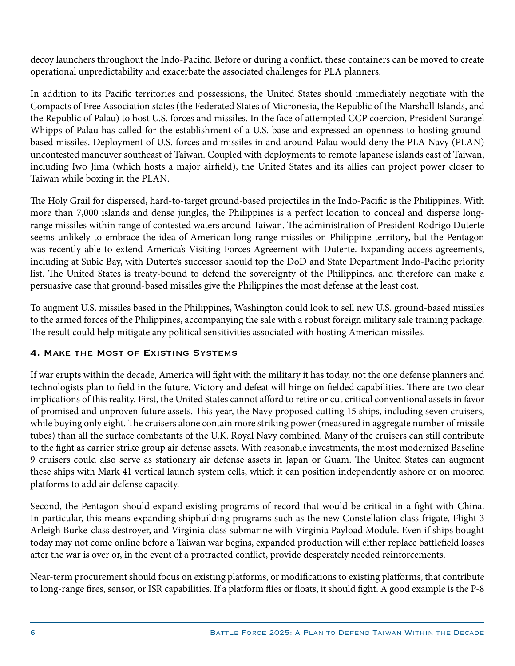decoy launchers throughout the Indo-Pacific. Before or during a conflict, these containers can be moved to create operational unpredictability and exacerbate the associated challenges for PLA planners.

In addition to its Pacific territories and possessions, the United States should immediately negotiate with the Compacts of Free Association states (the Federated States of Micronesia, the Republic of the Marshall Islands, and the Republic of Palau) to host U.S. forces and missiles. In the face of attempted CCP coercion, President Surangel Whipps of Palau has called for the establishment of a U.S. base and expressed an openness to hosting groundbased missiles. Deployment of U.S. forces and missiles in and around Palau would deny the PLA Navy (PLAN) uncontested maneuver southeast of Taiwan. Coupled with deployments to remote Japanese islands east of Taiwan, including Iwo Jima (which hosts a major airfield), the United States and its allies can project power closer to Taiwan while boxing in the PLAN.

The Holy Grail for dispersed, hard-to-target ground-based projectiles in the Indo-Pacific is the Philippines. With more than 7,000 islands and dense jungles, the Philippines is a perfect location to conceal and disperse longrange missiles within range of contested waters around Taiwan. The administration of President Rodrigo Duterte seems unlikely to embrace the idea of American long-range missiles on Philippine territory, but the Pentagon was recently able to extend America's Visiting Forces Agreement with Duterte. Expanding access agreements, including at Subic Bay, with Duterte's successor should top the DoD and State Department Indo-Pacific priority list. The United States is treaty-bound to defend the sovereignty of the Philippines, and therefore can make a persuasive case that ground-based missiles give the Philippines the most defense at the least cost.

To augment U.S. missiles based in the Philippines, Washington could look to sell new U.S. ground-based missiles to the armed forces of the Philippines, accompanying the sale with a robust foreign military sale training package. The result could help mitigate any political sensitivities associated with hosting American missiles.

## 4. Make the Most of Existing Systems

If war erupts within the decade, America will fight with the military it has today, not the one defense planners and technologists plan to field in the future. Victory and defeat will hinge on fielded capabilities. There are two clear implications of this reality. First, the United States cannot afford to retire or cut critical conventional assets in favor of promised and unproven future assets. This year, the Navy proposed cutting 15 ships, including seven cruisers, while buying only eight. The cruisers alone contain more striking power (measured in aggregate number of missile tubes) than all the surface combatants of the U.K. Royal Navy combined. Many of the cruisers can still contribute to the fight as carrier strike group air defense assets. With reasonable investments, the most modernized Baseline 9 cruisers could also serve as stationary air defense assets in Japan or Guam. The United States can augment these ships with Mark 41 vertical launch system cells, which it can position independently ashore or on moored platforms to add air defense capacity.

Second, the Pentagon should expand existing programs of record that would be critical in a fight with China. In particular, this means expanding shipbuilding programs such as the new Constellation-class frigate, Flight 3 Arleigh Burke-class destroyer, and Virginia-class submarine with Virginia Payload Module. Even if ships bought today may not come online before a Taiwan war begins, expanded production will either replace battlefield losses after the war is over or, in the event of a protracted conflict, provide desperately needed reinforcements.

Near-term procurement should focus on existing platforms, or modifications to existing platforms, that contribute to long-range fires, sensor, or ISR capabilities. If a platform flies or floats, it should fight. A good example is the P-8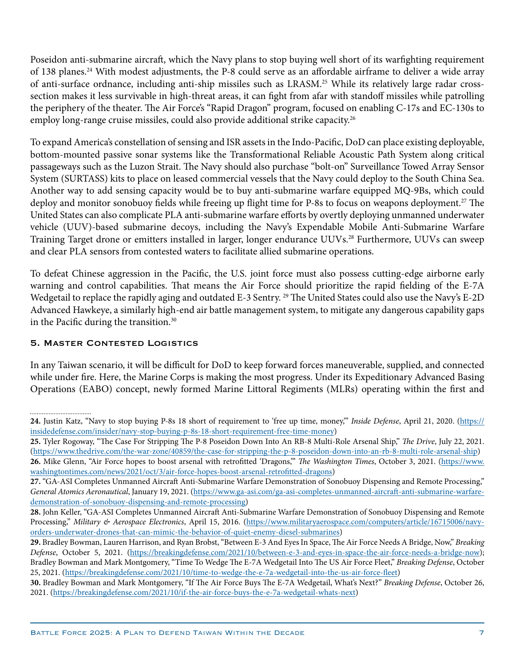Poseidon anti-submarine aircraft, which the Navy plans to stop buying well short of its warfighting requirement of 138 planes.24 With modest adjustments, the P-8 could serve as an affordable airframe to deliver a wide array of anti-surface ordnance, including anti-ship missiles such as LRASM.25 While its relatively large radar crosssection makes it less survivable in high-threat areas, it can fight from afar with standoff missiles while patrolling the periphery of the theater. The Air Force's "Rapid Dragon" program, focused on enabling C-17s and EC-130s to employ long-range cruise missiles, could also provide additional strike capacity.26

To expand America's constellation of sensing and ISR assets in the Indo-Pacific, DoD can place existing deployable, bottom-mounted passive sonar systems like the Transformational Reliable Acoustic Path System along critical passageways such as the Luzon Strait. The Navy should also purchase "bolt-on" Surveillance Towed Array Sensor System (SURTASS) kits to place on leased commercial vessels that the Navy could deploy to the South China Sea. Another way to add sensing capacity would be to buy anti-submarine warfare equipped MQ-9Bs, which could deploy and monitor sonobuoy fields while freeing up flight time for P-8s to focus on weapons deployment.<sup>27</sup> The United States can also complicate PLA anti-submarine warfare efforts by overtly deploying unmanned underwater vehicle (UUV)-based submarine decoys, including the Navy's Expendable Mobile Anti-Submarine Warfare Training Target drone or emitters installed in larger, longer endurance UUVs.28 Furthermore, UUVs can sweep and clear PLA sensors from contested waters to facilitate allied submarine operations.

To defeat Chinese aggression in the Pacific, the U.S. joint force must also possess cutting-edge airborne early warning and control capabilities. That means the Air Force should prioritize the rapid fielding of the E-7A Wedgetail to replace the rapidly aging and outdated E-3 Sentry. 29 The United States could also use the Navy's E-2D Advanced Hawkeye, a similarly high-end air battle management system, to mitigate any dangerous capability gaps in the Pacific during the transition.30

## 5. Master Contested Logistics

In any Taiwan scenario, it will be difficult for DoD to keep forward forces maneuverable, supplied, and connected while under fire. Here, the Marine Corps is making the most progress. Under its Expeditionary Advanced Basing Operations (EABO) concept, newly formed Marine Littoral Regiments (MLRs) operating within the first and

<sup>................................</sup> 

**<sup>24.</sup>** Justin Katz, "Navy to stop buying P-8s 18 short of requirement to 'free up time, money,'" *Inside Defense*, April 21, 2020. [\(https://](https://insidedefense.com/insider/navy-stop-buying-p-8s-18-short-requirement-free-time-money) [insidedefense.com/insider/navy-stop-buying-p-8s-18-short-requirement-free-time-money](https://insidedefense.com/insider/navy-stop-buying-p-8s-18-short-requirement-free-time-money))

**<sup>25.</sup>** Tyler Rogoway, "The Case For Stripping The P-8 Poseidon Down Into An RB-8 Multi-Role Arsenal Ship," *The Drive*, July 22, 2021. [\(https://www.thedrive.com/the-war-zone/40859/the-case-for-stripping-the-p-8-poseidon-down-into-an-rb-8-multi-role-arsenal-ship\)](https://www.thedrive.com/the-war-zone/40859/the-case-for-stripping-the-p-8-poseidon-down-into-an-rb-8-multi-role-arsenal-ship) **26.** Mike Glenn, "Air Force hopes to boost arsenal with retrofitted 'Dragons,'" *The Washington Times*, October 3, 2021. ([https://www.](https://www.washingtontimes.com/news/2021/oct/3/air-force-hopes-boost-arsenal-retrofitted-dragons) [washingtontimes.com/news/2021/oct/3/air-force-hopes-boost-arsenal-retrofitted-dragons](https://www.washingtontimes.com/news/2021/oct/3/air-force-hopes-boost-arsenal-retrofitted-dragons))

**<sup>27.</sup>** "GA-ASI Completes Unmanned Aircraft Anti-Submarine Warfare Demonstration of Sonobuoy Dispensing and Remote Processing," *General Atomics Aeronautical*, January 19, 2021. [\(https://www.ga-asi.com/ga-asi-completes-unmanned-aircraft-anti-submarine-warfare](https://www.ga-asi.com/ga-asi-completes-unmanned-aircraft-anti-submarine-warfare-demonstration-of-sonobuoy-dispensing-and-remote-processing)[demonstration-of-sonobuoy-dispensing-and-remote-processing\)](https://www.ga-asi.com/ga-asi-completes-unmanned-aircraft-anti-submarine-warfare-demonstration-of-sonobuoy-dispensing-and-remote-processing)

**<sup>28.</sup>** John Keller, "GA-ASI Completes Unmanned Aircraft Anti-Submarine Warfare Demonstration of Sonobuoy Dispensing and Remote Processing," *Military & Aerospace Electronics*, April 15, 2016. ([https://www.militaryaerospace.com/computers/article/16715006/navy](https://www.militaryaerospace.com/computers/article/16715006/navy-orders-underwater-drones-that-can-mimic-the-behavior-of-quiet-enemy-diesel-submarines)[orders-underwater-drones-that-can-mimic-the-behavior-of-quiet-enemy-diesel-submarines\)](https://www.militaryaerospace.com/computers/article/16715006/navy-orders-underwater-drones-that-can-mimic-the-behavior-of-quiet-enemy-diesel-submarines)

**<sup>29.</sup>** Bradley Bowman, Lauren Harrison, and Ryan Brobst, "Between E-3 And Eyes In Space, The Air Force Needs A Bridge, Now," *Breaking Defense*, October 5, 2021. ([https://breakingdefense.com/2021/10/between-e-3-and-eyes-in-space-the-air-force-needs-a-bridge-now](https://breakingdefense.com/2021/10/between-e-3-and-eyes-in-space-the-air-force-needs-a-bridge-now/)); Bradley Bowman and Mark Montgomery, "Time To Wedge The E-7A Wedgetail Into The US Air Force Fleet," *Breaking Defense*, October 25, 2021. [\(https://breakingdefense.com/2021/10/time-to-wedge-the-e-7a-wedgetail-into-the-us-air-force-fleet\)](https://breakingdefense.com/2021/10/time-to-wedge-the-e-7a-wedgetail-into-the-us-air-force-fleet)

**<sup>30.</sup>** Bradley Bowman and Mark Montgomery, "If The Air Force Buys The E-7A Wedgetail, What's Next?" *Breaking Defense*, October 26, 2021. [\(https://breakingdefense.com/2021/10/if-the-air-force-buys-the-e-7a-wedgetail-whats-next\)](https://breakingdefense.com/2021/10/if-the-air-force-buys-the-e-7a-wedgetail-whats-next/)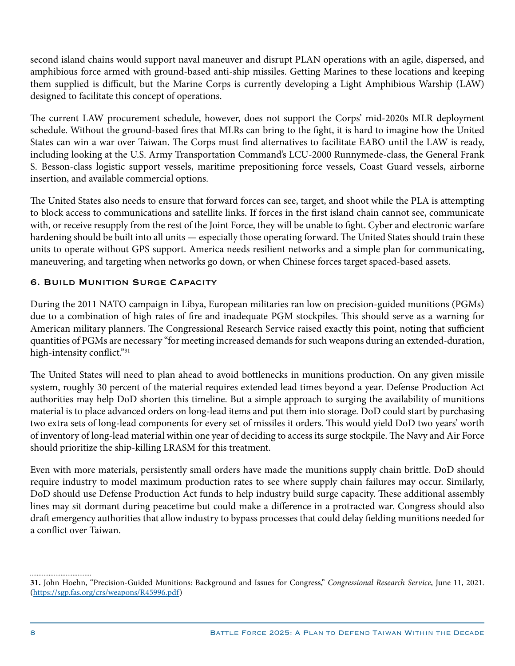second island chains would support naval maneuver and disrupt PLAN operations with an agile, dispersed, and amphibious force armed with ground-based anti-ship missiles. Getting Marines to these locations and keeping them supplied is difficult, but the Marine Corps is currently developing a Light Amphibious Warship (LAW) designed to facilitate this concept of operations.

The current LAW procurement schedule, however, does not support the Corps' mid-2020s MLR deployment schedule. Without the ground-based fires that MLRs can bring to the fight, it is hard to imagine how the United States can win a war over Taiwan. The Corps must find alternatives to facilitate EABO until the LAW is ready, including looking at the U.S. Army Transportation Command's LCU-2000 Runnymede-class, the General Frank S. Besson-class logistic support vessels, maritime prepositioning force vessels, Coast Guard vessels, airborne insertion, and available commercial options.

The United States also needs to ensure that forward forces can see, target, and shoot while the PLA is attempting to block access to communications and satellite links. If forces in the first island chain cannot see, communicate with, or receive resupply from the rest of the Joint Force, they will be unable to fight. Cyber and electronic warfare hardening should be built into all units — especially those operating forward. The United States should train these units to operate without GPS support. America needs resilient networks and a simple plan for communicating, maneuvering, and targeting when networks go down, or when Chinese forces target spaced-based assets.

# **6. Build Munition Surge Capacity**

During the 2011 NATO campaign in Libya, European militaries ran low on precision-guided munitions (PGMs) due to a combination of high rates of fire and inadequate PGM stockpiles. This should serve as a warning for American military planners. The Congressional Research Service raised exactly this point, noting that sufficient quantities of PGMs are necessary "for meeting increased demands for such weapons during an extended-duration, high-intensity conflict."31

The United States will need to plan ahead to avoid bottlenecks in munitions production. On any given missile system, roughly 30 percent of the material requires extended lead times beyond a year. Defense Production Act authorities may help DoD shorten this timeline. But a simple approach to surging the availability of munitions material is to place advanced orders on long-lead items and put them into storage. DoD could start by purchasing two extra sets of long-lead components for every set of missiles it orders. This would yield DoD two years' worth of inventory of long-lead material within one year of deciding to access its surge stockpile. The Navy and Air Force should prioritize the ship-killing LRASM for this treatment.

Even with more materials, persistently small orders have made the munitions supply chain brittle. DoD should require industry to model maximum production rates to see where supply chain failures may occur. Similarly, DoD should use Defense Production Act funds to help industry build surge capacity. These additional assembly lines may sit dormant during peacetime but could make a difference in a protracted war. Congress should also draft emergency authorities that allow industry to bypass processes that could delay fielding munitions needed for a conflict over Taiwan.

**<sup>31.</sup>** John Hoehn, "Precision-Guided Munitions: Background and Issues for Congress," *Congressional Research Service*, June 11, 2021. [\(https://sgp.fas.org/crs/weapons/R45996.pdf](https://sgp.fas.org/crs/weapons/R45996.pdf))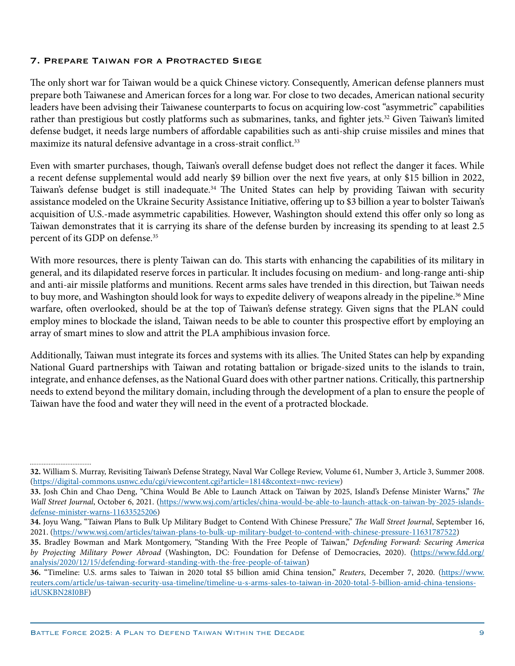#### 7. Prepare Taiwan for a Protracted Siege

The only short war for Taiwan would be a quick Chinese victory. Consequently, American defense planners must prepare both Taiwanese and American forces for a long war. For close to two decades, American national security leaders have been advising their Taiwanese counterparts to focus on acquiring low-cost "asymmetric" capabilities rather than prestigious but costly platforms such as submarines, tanks, and fighter jets.<sup>32</sup> Given Taiwan's limited defense budget, it needs large numbers of affordable capabilities such as anti-ship cruise missiles and mines that maximize its natural defensive advantage in a cross-strait conflict.<sup>33</sup>

Even with smarter purchases, though, Taiwan's overall defense budget does not reflect the danger it faces. While a recent defense supplemental would add nearly \$9 billion over the next five years, at only \$15 billion in 2022, Taiwan's defense budget is still inadequate.<sup>34</sup> The United States can help by providing Taiwan with security assistance modeled on the Ukraine Security Assistance Initiative, offering up to \$3 billion a year to bolster Taiwan's acquisition of U.S.-made asymmetric capabilities. However, Washington should extend this offer only so long as Taiwan demonstrates that it is carrying its share of the defense burden by increasing its spending to at least 2.5 percent of its GDP on defense.<sup>35</sup>

With more resources, there is plenty Taiwan can do. This starts with enhancing the capabilities of its military in general, and its dilapidated reserve forces in particular. It includes focusing on medium- and long-range anti-ship and anti-air missile platforms and munitions. Recent arms sales have trended in this direction, but Taiwan needs to buy more, and Washington should look for ways to expedite delivery of weapons already in the pipeline.<sup>36</sup> Mine warfare, often overlooked, should be at the top of Taiwan's defense strategy. Given signs that the PLAN could employ mines to blockade the island, Taiwan needs to be able to counter this prospective effort by employing an array of smart mines to slow and attrit the PLA amphibious invasion force.

Additionally, Taiwan must integrate its forces and systems with its allies. The United States can help by expanding National Guard partnerships with Taiwan and rotating battalion or brigade-sized units to the islands to train, integrate, and enhance defenses, as the National Guard does with other partner nations. Critically, this partnership needs to extend beyond the military domain, including through the development of a plan to ensure the people of Taiwan have the food and water they will need in the event of a protracted blockade.

**<sup>32.</sup>** William S. Murray, Revisiting Taiwan's Defense Strategy, Naval War College Review, Volume 61, Number 3, Article 3, Summer 2008. [\(https://digital-commons.usnwc.edu/cgi/viewcontent.cgi?article=1814&context=nwc-review](https://digital-commons.usnwc.edu/cgi/viewcontent.cgi?article=1814&context=nwc-review))

**<sup>33.</sup>** Josh Chin and Chao Deng, "China Would Be Able to Launch Attack on Taiwan by 2025, Island's Defense Minister Warns," *The Wall Street Journal*, October 6, 2021. ([https://www.wsj.com/articles/china-would-be-able-to-launch-attack-on-taiwan-by-2025-islands](https://www.wsj.com/articles/china-would-be-able-to-launch-attack-on-taiwan-by-2025-islands-defense-minister-warns-11633525206)[defense-minister-warns-11633525206\)](https://www.wsj.com/articles/china-would-be-able-to-launch-attack-on-taiwan-by-2025-islands-defense-minister-warns-11633525206)

**<sup>34.</sup>** Joyu Wang, "Taiwan Plans to Bulk Up Military Budget to Contend With Chinese Pressure," *The Wall Street Journal*, September 16, 2021. [\(https://www.wsj.com/articles/taiwan-plans-to-bulk-up-military-budget-to-contend-with-chinese-pressure-11631787522\)](https://www.wsj.com/articles/taiwan-plans-to-bulk-up-military-budget-to-contend-with-chinese-pressure-11631787522)

**<sup>35.</sup>** Bradley Bowman and Mark Montgomery, "Standing With the Free People of Taiwan," *Defending Forward: Securing America by Projecting Military Power Abroad* (Washington, DC: Foundation for Defense of Democracies, 2020). ([https://www.fdd.org/](https://www.fdd.org/analysis/2020/12/15/defending-forward-standing-with-the-free-people-of-taiwan) [analysis/2020/12/15/defending-forward-standing-with-the-free-people-of-taiwan\)](https://www.fdd.org/analysis/2020/12/15/defending-forward-standing-with-the-free-people-of-taiwan)

**<sup>36.</sup>** "Timeline: U.S. arms sales to Taiwan in 2020 total \$5 billion amid China tension," *Reuters*, December 7, 2020. ([https://www.](https://www.reuters.com/article/us-taiwan-security-usa-timeline/timeline-u-s-arms-sales-to-taiwan-in-2020-total-5-billion-amid-china-tensions-idUSKBN28I0BF) [reuters.com/article/us-taiwan-security-usa-timeline/timeline-u-s-arms-sales-to-taiwan-in-2020-total-5-billion-amid-china-tensions](https://www.reuters.com/article/us-taiwan-security-usa-timeline/timeline-u-s-arms-sales-to-taiwan-in-2020-total-5-billion-amid-china-tensions-idUSKBN28I0BF)[idUSKBN28I0BF\)](https://www.reuters.com/article/us-taiwan-security-usa-timeline/timeline-u-s-arms-sales-to-taiwan-in-2020-total-5-billion-amid-china-tensions-idUSKBN28I0BF)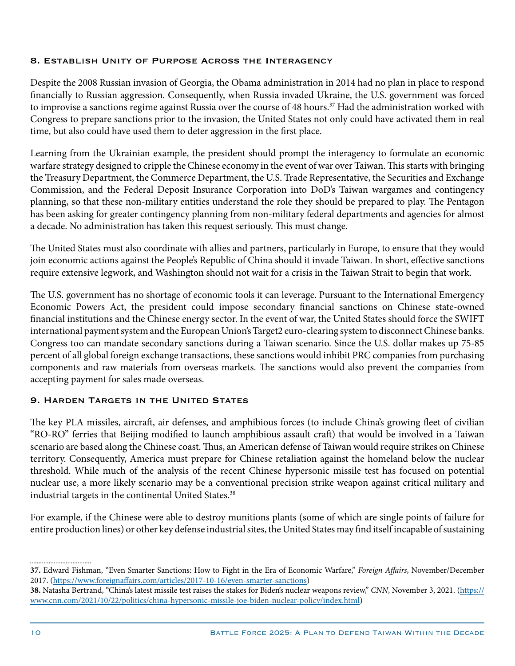#### 8. Establish Unity of Purpose Across the Interagency

Despite the 2008 Russian invasion of Georgia, the Obama administration in 2014 had no plan in place to respond financially to Russian aggression. Consequently, when Russia invaded Ukraine, the U.S. government was forced to improvise a sanctions regime against Russia over the course of 48 hours.<sup>37</sup> Had the administration worked with Congress to prepare sanctions prior to the invasion, the United States not only could have activated them in real time, but also could have used them to deter aggression in the first place.

Learning from the Ukrainian example, the president should prompt the interagency to formulate an economic warfare strategy designed to cripple the Chinese economy in the event of war over Taiwan. This starts with bringing the Treasury Department, the Commerce Department, the U.S. Trade Representative, the Securities and Exchange Commission, and the Federal Deposit Insurance Corporation into DoD's Taiwan wargames and contingency planning, so that these non-military entities understand the role they should be prepared to play. The Pentagon has been asking for greater contingency planning from non-military federal departments and agencies for almost a decade. No administration has taken this request seriously. This must change.

The United States must also coordinate with allies and partners, particularly in Europe, to ensure that they would join economic actions against the People's Republic of China should it invade Taiwan. In short, effective sanctions require extensive legwork, and Washington should not wait for a crisis in the Taiwan Strait to begin that work.

The U.S. government has no shortage of economic tools it can leverage. Pursuant to the International Emergency Economic Powers Act, the president could impose secondary financial sanctions on Chinese state-owned financial institutions and the Chinese energy sector. In the event of war, the United States should force the SWIFT international payment system and the European Union's Target2 euro-clearing system to disconnect Chinese banks. Congress too can mandate secondary sanctions during a Taiwan scenario. Since the U.S. dollar makes up 75-85 percent of all global foreign exchange transactions, these sanctions would inhibit PRC companies from purchasing components and raw materials from overseas markets. The sanctions would also prevent the companies from accepting payment for sales made overseas.

## 9. Harden Targets in the United States

The key PLA missiles, aircraft, air defenses, and amphibious forces (to include China's growing fleet of civilian "RO-RO" ferries that Beijing modified to launch amphibious assault craft) that would be involved in a Taiwan scenario are based along the Chinese coast. Thus, an American defense of Taiwan would require strikes on Chinese territory. Consequently, America must prepare for Chinese retaliation against the homeland below the nuclear threshold. While much of the analysis of the recent Chinese hypersonic missile test has focused on potential nuclear use, a more likely scenario may be a conventional precision strike weapon against critical military and industrial targets in the continental United States.<sup>38</sup>

For example, if the Chinese were able to destroy munitions plants (some of which are single points of failure for entire production lines) or other key defense industrial sites, the United States may find itself incapable of sustaining

**<sup>37.</sup>** Edward Fishman, "Even Smarter Sanctions: How to Fight in the Era of Economic Warfare," *Foreign Affairs*, November/December 2017. [\(https://www.foreignaffairs.com/articles/2017-10-16/even-smarter-sanctions\)](https://www.foreignaffairs.com/articles/2017-10-16/even-smarter-sanctions)

**<sup>38.</sup>** Natasha Bertrand, "China's latest missile test raises the stakes for Biden's nuclear weapons review," *CNN*, November 3, 2021. [\(https://](https://www.cnn.com/2021/10/22/politics/china-hypersonic-missile-joe-biden-nuclear-policy/index.html) [www.cnn.com/2021/10/22/politics/china-hypersonic-missile-joe-biden-nuclear-policy/index.html\)](https://www.cnn.com/2021/10/22/politics/china-hypersonic-missile-joe-biden-nuclear-policy/index.html)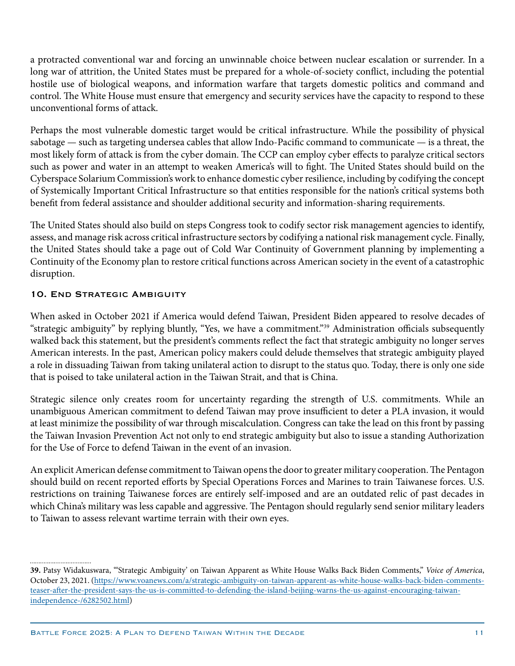a protracted conventional war and forcing an unwinnable choice between nuclear escalation or surrender. In a long war of attrition, the United States must be prepared for a whole-of-society conflict, including the potential hostile use of biological weapons, and information warfare that targets domestic politics and command and control. The White House must ensure that emergency and security services have the capacity to respond to these unconventional forms of attack.

Perhaps the most vulnerable domestic target would be critical infrastructure. While the possibility of physical sabotage — such as targeting undersea cables that allow Indo-Pacific command to communicate — is a threat, the most likely form of attack is from the cyber domain. The CCP can employ cyber effects to paralyze critical sectors such as power and water in an attempt to weaken America's will to fight. The United States should build on the Cyberspace Solarium Commission's work to enhance domestic cyber resilience, including by codifying the concept of Systemically Important Critical Infrastructure so that entities responsible for the nation's critical systems both benefit from federal assistance and shoulder additional security and information-sharing requirements.

The United States should also build on steps Congress took to codify sector risk management agencies to identify, assess, and manage risk across critical infrastructure sectors by codifying a national risk management cycle. Finally, the United States should take a page out of Cold War Continuity of Government planning by implementing a Continuity of the Economy plan to restore critical functions across American society in the event of a catastrophic disruption.

## 10. End Strategic Ambiguity

When asked in October 2021 if America would defend Taiwan, President Biden appeared to resolve decades of "strategic ambiguity" by replying bluntly, "Yes, we have a commitment."39 Administration officials subsequently walked back this statement, but the president's comments reflect the fact that strategic ambiguity no longer serves American interests. In the past, American policy makers could delude themselves that strategic ambiguity played a role in dissuading Taiwan from taking unilateral action to disrupt to the status quo. Today, there is only one side that is poised to take unilateral action in the Taiwan Strait, and that is China.

Strategic silence only creates room for uncertainty regarding the strength of U.S. commitments. While an unambiguous American commitment to defend Taiwan may prove insufficient to deter a PLA invasion, it would at least minimize the possibility of war through miscalculation. Congress can take the lead on this front by passing the Taiwan Invasion Prevention Act not only to end strategic ambiguity but also to issue a standing Authorization for the Use of Force to defend Taiwan in the event of an invasion.

An explicit American defense commitment to Taiwan opens the door to greater military cooperation. The Pentagon should build on recent reported efforts by Special Operations Forces and Marines to train Taiwanese forces. U.S. restrictions on training Taiwanese forces are entirely self-imposed and are an outdated relic of past decades in which China's military was less capable and aggressive. The Pentagon should regularly send senior military leaders to Taiwan to assess relevant wartime terrain with their own eyes.

**<sup>39.</sup>** Patsy Widakuswara, "'Strategic Ambiguity' on Taiwan Apparent as White House Walks Back Biden Comments," *Voice of America*, October 23, 2021. ([https://www.voanews.com/a/strategic-ambiguity-on-taiwan-apparent-as-white-house-walks-back-biden-comments](https://www.voanews.com/a/strategic-ambiguity-on-taiwan-apparent-as-white-house-walks-back-biden-comments-teaser-after-the-president-says-the-us-is-committed-to-defending-the-island-beijing-warns-the-us-against-encouraging-taiwan-independence-/6282502.html)[teaser-after-the-president-says-the-us-is-committed-to-defending-the-island-beijing-warns-the-us-against-encouraging-taiwan](https://www.voanews.com/a/strategic-ambiguity-on-taiwan-apparent-as-white-house-walks-back-biden-comments-teaser-after-the-president-says-the-us-is-committed-to-defending-the-island-beijing-warns-the-us-against-encouraging-taiwan-independence-/6282502.html)[independence-/6282502.html\)](https://www.voanews.com/a/strategic-ambiguity-on-taiwan-apparent-as-white-house-walks-back-biden-comments-teaser-after-the-president-says-the-us-is-committed-to-defending-the-island-beijing-warns-the-us-against-encouraging-taiwan-independence-/6282502.html)